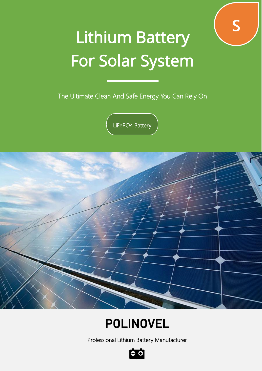

# Lithium Battery For Solar System

The Ultimate Clean And Safe Energy You Can Rely On

LiFePO4 Battery



## POLINOVEL

Professional Lithium Battery Manufacturer

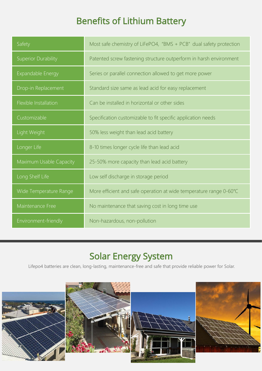### Benefits of Lithium Battery

| Safety                     | Most safe chemistry of LiFePO4, "BMS + PCB" dual safety protection |  |
|----------------------------|--------------------------------------------------------------------|--|
| <b>Superior Durability</b> | Patented screw fastening structure outperform in harsh environment |  |
| Expandable Energy          | Series or parallel connection allowed to get more power            |  |
| Drop-in Replacement        | Standard size same as lead acid for easy replacement               |  |
| Flexible Installation      | Can be installed in horizontal or other sides                      |  |
| Customizable               | Specification customizable to fit specific application needs       |  |
| Light Weight               | 50% less weight than lead acid battery                             |  |
| Longer Life                | 8-10 times longer cycle life than lead acid                        |  |
| Maximum Usable Capacity    | 25-50% more capacity than lead acid battery                        |  |
| Long Shelf Life            | Low self discharge in storage period                               |  |
| Wide Temperature Range     | More efficient and safe operation at wide temperature range 0-60°C |  |
| Maintenance Free           | No maintenance that saving cost in long time use                   |  |
| Environment-friendly       | Non-hazardous, non-pollution                                       |  |

#### Solar Energy System

Lifepo4 batteries are clean, long-lasting, maintenance-free and safe that provide reliable power for Solar.